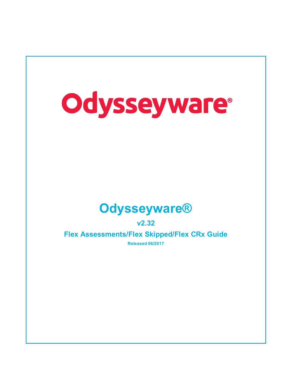

**v2.32**

**Flex Assessments/Flex Skipped/Flex CRx Guide Released 06/2017**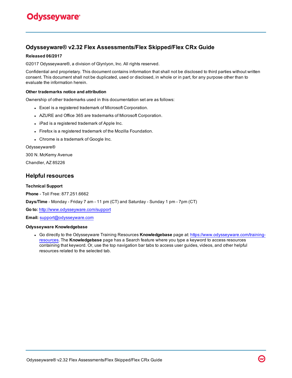### **Odysseyware® v2.32 Flex Assessments/Flex Skipped/Flex CRx Guide**

#### **Released 06/2017**

©2017 Odysseyware®, a division of Glynlyon, Inc. All rights reserved.

Confidential and proprietary. This document contains information that shall not be disclosed to third parties without written consent. This document shall not be duplicated, used or disclosed, in whole or in part, for any purpose other than to evaluate the information herein.

#### **Other trademarks notice and attribution**

Ownership of other trademarks used in this documentation set are as follows:

- Excel is a registered trademark of Microsoft Corporation.
- AZURE and Office 365 are trademarks of Microsoft Corporation.
- iPad is a registered trademark of Apple Inc.
- Firefox is a registered trademark of the Mozilla Foundation.
- Chrome is a trademark of Google Inc.

#### Odysseyware®

300 N. McKemy Avenue

Chandler, AZ 85226

#### **Helpful resources**

#### **Technical Support**

**Phone** - Toll Free: 877.251.6662

**Days/Time** - Monday - Friday 7 am - 11 pm (CT) and Saturday - Sunday 1 pm - 7pm (CT)

**Go to:** <http://www.odysseyware.com/support>

**Email:** [support@odysseyware.com](mailto:support@odysseyware.com)

#### **Odysseyware Knowledgebase**

<sup>l</sup> Go directly to the Odysseyware Training Resources **Knowledgebase** page at: [https://www.odysseyware.com/training](https://www.odysseyware.com/training-resources)[resources](https://www.odysseyware.com/training-resources). The **Knowledgebase** page has a Search feature where you type a keyword to access resources containing that keyword. Or, use the top navigation bar tabs to access user guides, videos, and other helpful resources related to the selected tab.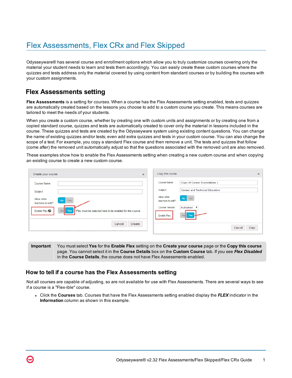# Flex Assessments, Flex CRx and Flex Skipped

Odysseyware® has several course and enrollment options which allow you to truly customize courses covering only the material your student needs to learn and tests them accordingly. You can easily create these custom courses where the quizzes and tests address only the material covered by using content from standard courses or by building the courses with your custom assignments.

## **Flex Assessments setting**

**Flex Assessments** is a setting for *courses*. When a course has the Flex Assessments setting enabled, tests and quizzes are automatically created based on the lessons you choose to add to a custom course you create. This means courses are tailored to meet the needs of your students.

When you create a custom course, whether by creating one with custom units and assignments or by creating one from a copied standard course, quizzes and tests are automatically created to cover only the material in lessons included in the course. These quizzes and tests are created by the Odysseyware system using existing content questions. You can change the name of existing quizzes and/or tests; even add extra quizzes and tests in your custom course. You can also change the scope of a test. For example, you copy a standard Flex course and then remove a unit. The tests and quizzes that follow (come after) the removed unit automatically adjust so that the questions associated with the removed unit are also removed.

These examples show how to enable the Flex Assessments setting when creating a new custom course and when copying an existing course to create a new custom course.

| Create your course                                                                                                                                                                                                    | $\boldsymbol{\varkappa}$ | Copy this course                                                                                                                                                                                                | $\mathbbm{R}$ |
|-----------------------------------------------------------------------------------------------------------------------------------------------------------------------------------------------------------------------|--------------------------|-----------------------------------------------------------------------------------------------------------------------------------------------------------------------------------------------------------------|---------------|
| Course Name<br>Subject<br>Allow other<br><b>No</b><br>Yes<br>teachers to edit?<br>Enable Flex <sup>@</sup><br>Yes<br>No <sup>1</sup><br>*Flex must be selected here to be enabled for this course<br>Create<br>Cancel |                          | Course Name:<br>Copy of Career Explorations 1<br>Subject:<br>Career and Technical Education<br>Allow other<br>No Yes<br>teachers to edit?<br>Course Version:<br>Published V<br>No Yes<br>Enable Flex:<br>Cancel | Copy          |

**Important** You must select **Yes** for the **Enable Flex** setting on the **Create your course** page or the **Copy this course** page. You cannot select it in the **Course Details** box on the **Custom Course** tab. If you see *Flex Disabled* in the **Course Details**, the course does not have Flex Assessments enabled.

### **How to tell if a course has the Flex Assessments setting**

 $\boldsymbol{\omega}$ 

Not all courses are capable of adjusting, so are not available for use with Flex Assessments. There are several ways to see if a course is a "Flex-ible" course.

<sup>l</sup> Click the **Courses** tab. Courses that have the Flex Assessments setting enabled display the *FLEX* indicator in the **Information** column as shown in this example.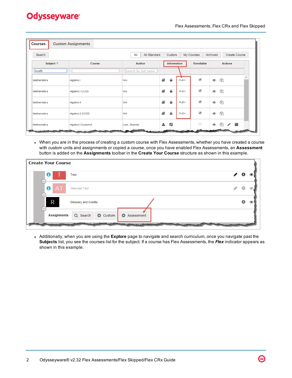#### Flex Assessments, Flex CRx and Flex Skipped

| Courses                                                                                                                                                                                                                                                                            | <b>Custom Assignments</b> |                     |                        |                          |                           |
|------------------------------------------------------------------------------------------------------------------------------------------------------------------------------------------------------------------------------------------------------------------------------------|---------------------------|---------------------|------------------------|--------------------------|---------------------------|
| Search                                                                                                                                                                                                                                                                             |                           | All<br>All Standard | Custom                 | My Courses               | Archived<br>Create Course |
| Subject $\triangleq$                                                                                                                                                                                                                                                               | Course                    | Author              | Information            | Enrollable               | <b>Actions</b>            |
| math                                                                                                                                                                                                                                                                               |                           | Search by last name |                        |                          |                           |
| Mathematics                                                                                                                                                                                                                                                                        | Algebra I                 | N/A                 | E)<br>₽<br><b>FLEX</b> | $\overline{\mathscr{L}}$ | 47<br>$\circledcirc$      |
| Mathematics                                                                                                                                                                                                                                                                        | Algebra I CCSS            | N/A                 | E)<br>₽<br><b>FLEX</b> | $\blacktriangledown$     | 47<br>$\circledcirc$      |
| Mathematics                                                                                                                                                                                                                                                                        | Algebra II                | N/A                 | E)<br>₽<br><b>FLEX</b> | $\blacktriangledown$     | ඇ<br>$\circledcirc$       |
| <b>Mathematics</b>                                                                                                                                                                                                                                                                 | Algebra II CCSS           | N/A                 | E)<br>₽<br><b>FLEX</b> | $\overline{\mathscr{L}}$ | ఆ<br>$\circledcirc$       |
| Mathematics<br><b>Salara Santon Street</b><br><b>The Contract of Contract of The Contract of The Contract of The Contract of The Contract of The Contract of The Contract of The Contract of The Contract of The Contract of The Contract of The Contract of The Contract of T</b> | Algebra I CustomA         | Lear, Shanda<br>. . | ☞<br>А                 | $\Box$                   | 47<br>T.<br>◉<br>P        |

• When you are in the process of creating a custom course with Flex Assessments, whether you have created a course with custom units and assignments or copied a course, once you have enabled Flex Assessments, an **Assessment** button is added on the **Assignments** toolbar in the **Create Your Course** structure as shown in this example.

| <b>Create Your Course</b>                                                |    |  |
|--------------------------------------------------------------------------|----|--|
| ⊕<br>Test                                                                | S. |  |
| 0<br>AT<br>Alternate Test<br>۰                                           |    |  |
| R<br>Glossary and Credits<br>d.                                          | ❸  |  |
| <b>Assignments</b><br>Q Search<br><b>O</b> Custom<br><b>O</b> Assessment |    |  |
|                                                                          |    |  |

<sup>l</sup> Additionally, when you are using the **Explore** page to navigate and search curriculum, once you navigate past the **Subjects** list, you see the courses list for the subject. If a course has Flex Assessments, the *Flex* indicator appears as shown in this example.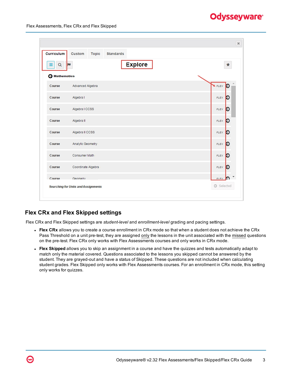| Curriculum           | Custom<br><b>Topic</b><br><b>Standards</b> |                |
|----------------------|--------------------------------------------|----------------|
| Q<br>Ξ               | <b>Explore</b><br>IN                       | ★              |
| <b>3</b> Mathematics |                                            |                |
| Course               | Advanced Algebra                           | $H$ FLEX<br> → |
| Course               | Algebra I                                  | Ð<br>FLEX      |
| Course               | Algebra I CCSS                             | FLEX<br>Э      |
| Course               | Algebra II                                 | FLEX<br>Đ      |
| Course               | Algebra II CCSS                            | Ð<br>FLEX      |
| Course               | Analytic Geometry                          | FLEX<br>Ð      |
| Course               | Consumer Math                              | FLEX<br>Ð      |
| Course               | Coordinate Algebra                         | Ð<br>FLEX      |
| Course               | Geometry                                   | E<br>FI FX     |

### **Flex CRx and Flex Skipped settings**

Flex CRx and Flex Skipped settings are *student-level* and *enrollment-level* grading and pacing settings.

- **Flex CRx** allows you to create a course enrollment in CRx mode so that when a student does not achieve the CRx Pass Threshold on a unit pre-test, they are assigned only the lessons in the unit associated with the missed questions on the pre-test. Flex CRx only works with Flex Assessments courses and only works in CRx mode.
- <sup>l</sup> **Flex Skipped** allows you to skip an assignment in a course and have the quizzes and tests automatically adapt to match only the material covered. Questions associated to the lessons you skipped cannot be answered by the student. They are grayed-out and have a status of Skipped. These questions are not included when calculating student grades. Flex Skipped only works with Flex Assessments courses. For an enrollment in CRx mode, this setting only works for quizzes.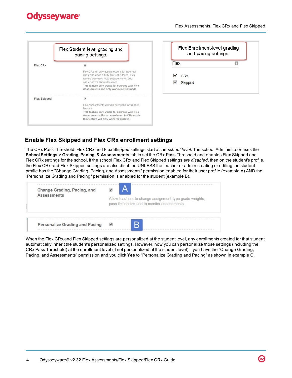|                     | Flex Student-level grading and<br>pacing settings.                                                                                                                                                                                                                            |
|---------------------|-------------------------------------------------------------------------------------------------------------------------------------------------------------------------------------------------------------------------------------------------------------------------------|
| Flex CRx            | $\checkmark$                                                                                                                                                                                                                                                                  |
|                     | Flex CRx will only assign lessons for incorrect<br>questions when a CRx pre-test is failed. This<br>feature also uses Flex Skipped to skip quiz<br>questions for skipped lessons.<br>This feature only works for courses with Flex<br>Assessments and only works in CRx mode. |
| <b>Flex Skipped</b> | $\checkmark$                                                                                                                                                                                                                                                                  |
|                     | Flex Assessments will skip questions for skipped<br>lessons                                                                                                                                                                                                                   |
|                     | This feature only works for courses with Flex                                                                                                                                                                                                                                 |
|                     | Assessments. For an enrollment in CRx mode<br>this feature will only work for quizzes.                                                                                                                                                                                        |

| Flex Enrollment-level grading<br>and pacing settings. |  |  |
|-------------------------------------------------------|--|--|
| Flex                                                  |  |  |
| $\sqrt{CRx}$                                          |  |  |
| Skipped                                               |  |  |

### **Enable Flex Skipped and Flex CRx enrollment settings**

The CRx Pass Threshold, Flex CRx and Flex Skipped settings start at the *school level*. The school Administrator uses the **School Settings > Grading, Pacing, & Assessments** tab to set the CRx Pass Threshold and enables Flex Skipped and Flex CRx settings for the school. If the school Flex CRx and Flex Skipped settings *are disabled*, then on the student's profile, the Flex CRx and Flex Skipped settings are also disabled UNLESS the teacher or admin creating or editing the student profile has the "Change Grading, Pacing, and Assessments" permission enabled for their user profile (example A) AND the "Personalize Grading and Pacing" permission is enabled for the student (example B).

| Change Grading, Pacing, and           | Allow teachers to change assignment type grade weights, |
|---------------------------------------|---------------------------------------------------------|
| <b>Assessments</b>                    | pass thresholds and to monitor assessments.             |
| <b>Personalize Grading and Pacing</b> |                                                         |

When the Flex CRx and Flex Skipped settings are personalized at the student level, any enrollments created for that student automatically inherit the student's personalized settings. However, now you can personalize those settings (including the CRx Pass Threshold) at the enrollment level (if not personalized at the student level) if you have the "Change Grading, Pacing, and Assessments" permission and you click **Yes** to "Personalize Grading and Pacing" as shown in example C.